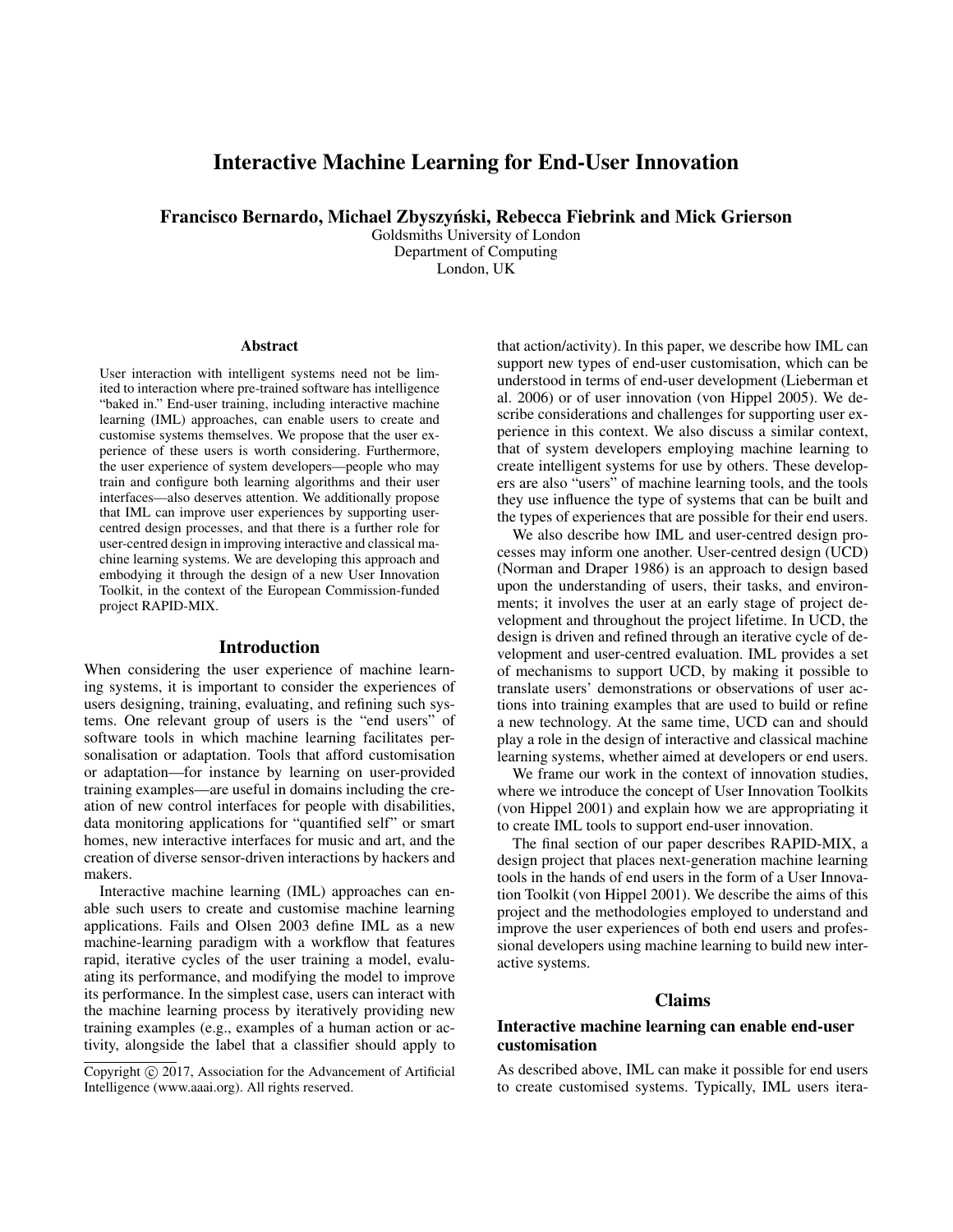# Interactive Machine Learning for End-User Innovation

Francisco Bernardo, Michael Zbyszynski, Rebecca Fiebrink and Mick Grierson ´

Goldsmiths University of London Department of Computing London, UK

#### Abstract

User interaction with intelligent systems need not be limited to interaction where pre-trained software has intelligence "baked in." End-user training, including interactive machine learning (IML) approaches, can enable users to create and customise systems themselves. We propose that the user experience of these users is worth considering. Furthermore, the user experience of system developers—people who may train and configure both learning algorithms and their user interfaces—also deserves attention. We additionally propose that IML can improve user experiences by supporting usercentred design processes, and that there is a further role for user-centred design in improving interactive and classical machine learning systems. We are developing this approach and embodying it through the design of a new User Innovation Toolkit, in the context of the European Commission-funded project RAPID-MIX.

#### Introduction

When considering the user experience of machine learning systems, it is important to consider the experiences of users designing, training, evaluating, and refining such systems. One relevant group of users is the "end users" of software tools in which machine learning facilitates personalisation or adaptation. Tools that afford customisation or adaptation—for instance by learning on user-provided training examples—are useful in domains including the creation of new control interfaces for people with disabilities, data monitoring applications for "quantified self" or smart homes, new interactive interfaces for music and art, and the creation of diverse sensor-driven interactions by hackers and makers.

Interactive machine learning (IML) approaches can enable such users to create and customise machine learning applications. Fails and Olsen 2003 define IML as a new machine-learning paradigm with a workflow that features rapid, iterative cycles of the user training a model, evaluating its performance, and modifying the model to improve its performance. In the simplest case, users can interact with the machine learning process by iteratively providing new training examples (e.g., examples of a human action or activity, alongside the label that a classifier should apply to

that action/activity). In this paper, we describe how IML can support new types of end-user customisation, which can be understood in terms of end-user development (Lieberman et al. 2006) or of user innovation (von Hippel 2005). We describe considerations and challenges for supporting user experience in this context. We also discuss a similar context, that of system developers employing machine learning to create intelligent systems for use by others. These developers are also "users" of machine learning tools, and the tools they use influence the type of systems that can be built and the types of experiences that are possible for their end users.

We also describe how IML and user-centred design processes may inform one another. User-centred design (UCD) (Norman and Draper 1986) is an approach to design based upon the understanding of users, their tasks, and environments; it involves the user at an early stage of project development and throughout the project lifetime. In UCD, the design is driven and refined through an iterative cycle of development and user-centred evaluation. IML provides a set of mechanisms to support UCD, by making it possible to translate users' demonstrations or observations of user actions into training examples that are used to build or refine a new technology. At the same time, UCD can and should play a role in the design of interactive and classical machine learning systems, whether aimed at developers or end users.

We frame our work in the context of innovation studies, where we introduce the concept of User Innovation Toolkits (von Hippel 2001) and explain how we are appropriating it to create IML tools to support end-user innovation.

The final section of our paper describes RAPID-MIX, a design project that places next-generation machine learning tools in the hands of end users in the form of a User Innovation Toolkit (von Hippel 2001). We describe the aims of this project and the methodologies employed to understand and improve the user experiences of both end users and professional developers using machine learning to build new interactive systems.

## Claims

### Interactive machine learning can enable end-user customisation

As described above, IML can make it possible for end users to create customised systems. Typically, IML users itera-

Copyright (c) 2017, Association for the Advancement of Artificial Intelligence (www.aaai.org). All rights reserved.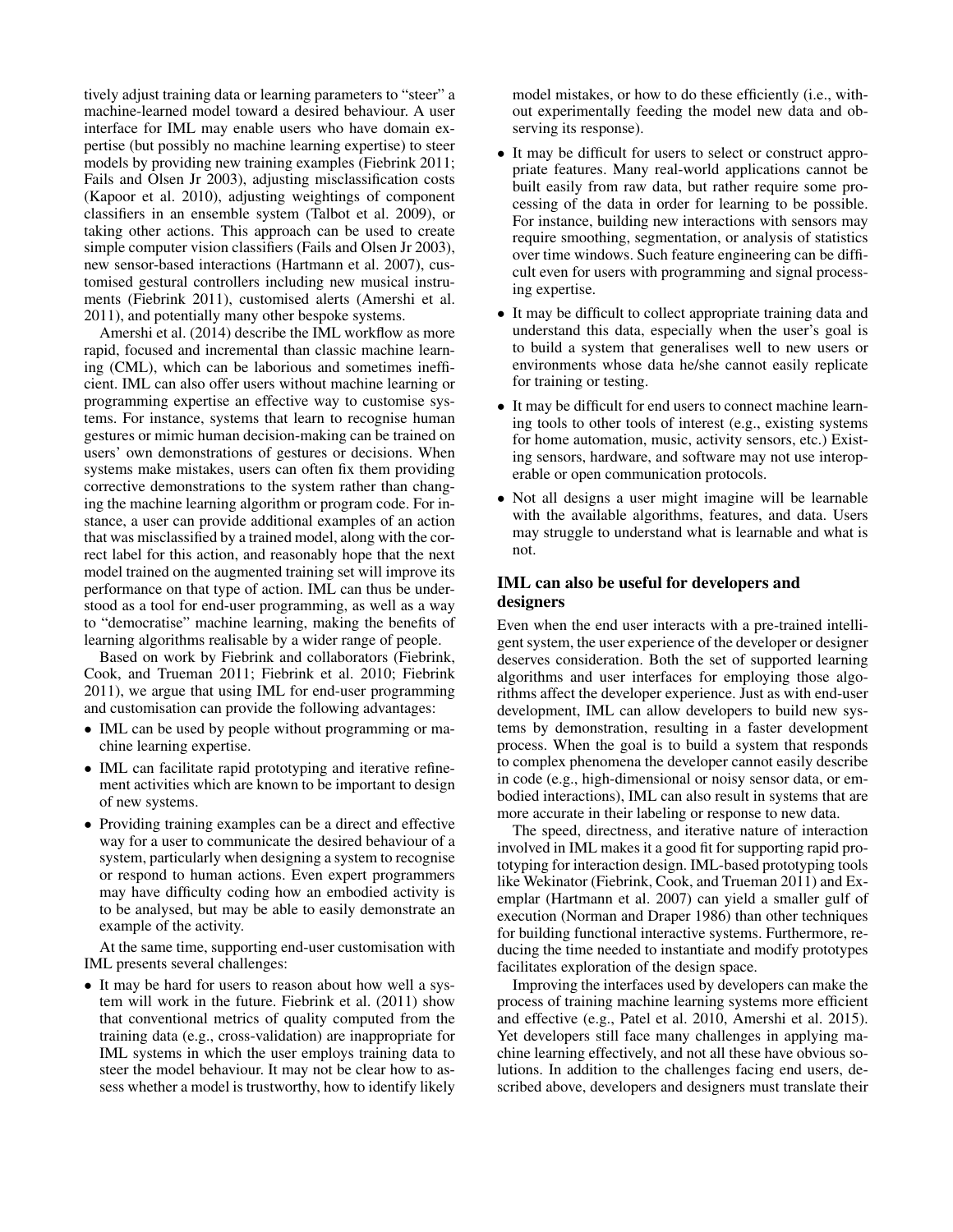tively adjust training data or learning parameters to "steer" a machine-learned model toward a desired behaviour. A user interface for IML may enable users who have domain expertise (but possibly no machine learning expertise) to steer models by providing new training examples (Fiebrink 2011; Fails and Olsen Jr 2003), adjusting misclassification costs (Kapoor et al. 2010), adjusting weightings of component classifiers in an ensemble system (Talbot et al. 2009), or taking other actions. This approach can be used to create simple computer vision classifiers (Fails and Olsen Jr 2003), new sensor-based interactions (Hartmann et al. 2007), customised gestural controllers including new musical instruments (Fiebrink 2011), customised alerts (Amershi et al. 2011), and potentially many other bespoke systems.

Amershi et al. (2014) describe the IML workflow as more rapid, focused and incremental than classic machine learning (CML), which can be laborious and sometimes inefficient. IML can also offer users without machine learning or programming expertise an effective way to customise systems. For instance, systems that learn to recognise human gestures or mimic human decision-making can be trained on users' own demonstrations of gestures or decisions. When systems make mistakes, users can often fix them providing corrective demonstrations to the system rather than changing the machine learning algorithm or program code. For instance, a user can provide additional examples of an action that was misclassified by a trained model, along with the correct label for this action, and reasonably hope that the next model trained on the augmented training set will improve its performance on that type of action. IML can thus be understood as a tool for end-user programming, as well as a way to "democratise" machine learning, making the benefits of learning algorithms realisable by a wider range of people.

Based on work by Fiebrink and collaborators (Fiebrink, Cook, and Trueman 2011; Fiebrink et al. 2010; Fiebrink 2011), we argue that using IML for end-user programming and customisation can provide the following advantages:

- IML can be used by people without programming or machine learning expertise.
- IML can facilitate rapid prototyping and iterative refinement activities which are known to be important to design of new systems.
- Providing training examples can be a direct and effective way for a user to communicate the desired behaviour of a system, particularly when designing a system to recognise or respond to human actions. Even expert programmers may have difficulty coding how an embodied activity is to be analysed, but may be able to easily demonstrate an example of the activity.

At the same time, supporting end-user customisation with IML presents several challenges:

• It may be hard for users to reason about how well a system will work in the future. Fiebrink et al. (2011) show that conventional metrics of quality computed from the training data (e.g., cross-validation) are inappropriate for IML systems in which the user employs training data to steer the model behaviour. It may not be clear how to assess whether a model is trustworthy, how to identify likely model mistakes, or how to do these efficiently (i.e., without experimentally feeding the model new data and observing its response).

- It may be difficult for users to select or construct appropriate features. Many real-world applications cannot be built easily from raw data, but rather require some processing of the data in order for learning to be possible. For instance, building new interactions with sensors may require smoothing, segmentation, or analysis of statistics over time windows. Such feature engineering can be difficult even for users with programming and signal processing expertise.
- It may be difficult to collect appropriate training data and understand this data, especially when the user's goal is to build a system that generalises well to new users or environments whose data he/she cannot easily replicate for training or testing.
- It may be difficult for end users to connect machine learning tools to other tools of interest (e.g., existing systems for home automation, music, activity sensors, etc.) Existing sensors, hardware, and software may not use interoperable or open communication protocols.
- Not all designs a user might imagine will be learnable with the available algorithms, features, and data. Users may struggle to understand what is learnable and what is not.

### IML can also be useful for developers and designers

Even when the end user interacts with a pre-trained intelligent system, the user experience of the developer or designer deserves consideration. Both the set of supported learning algorithms and user interfaces for employing those algorithms affect the developer experience. Just as with end-user development, IML can allow developers to build new systems by demonstration, resulting in a faster development process. When the goal is to build a system that responds to complex phenomena the developer cannot easily describe in code (e.g., high-dimensional or noisy sensor data, or embodied interactions), IML can also result in systems that are more accurate in their labeling or response to new data.

The speed, directness, and iterative nature of interaction involved in IML makes it a good fit for supporting rapid prototyping for interaction design. IML-based prototyping tools like Wekinator (Fiebrink, Cook, and Trueman 2011) and Exemplar (Hartmann et al. 2007) can yield a smaller gulf of execution (Norman and Draper 1986) than other techniques for building functional interactive systems. Furthermore, reducing the time needed to instantiate and modify prototypes facilitates exploration of the design space.

Improving the interfaces used by developers can make the process of training machine learning systems more efficient and effective (e.g., Patel et al. 2010, Amershi et al. 2015). Yet developers still face many challenges in applying machine learning effectively, and not all these have obvious solutions. In addition to the challenges facing end users, described above, developers and designers must translate their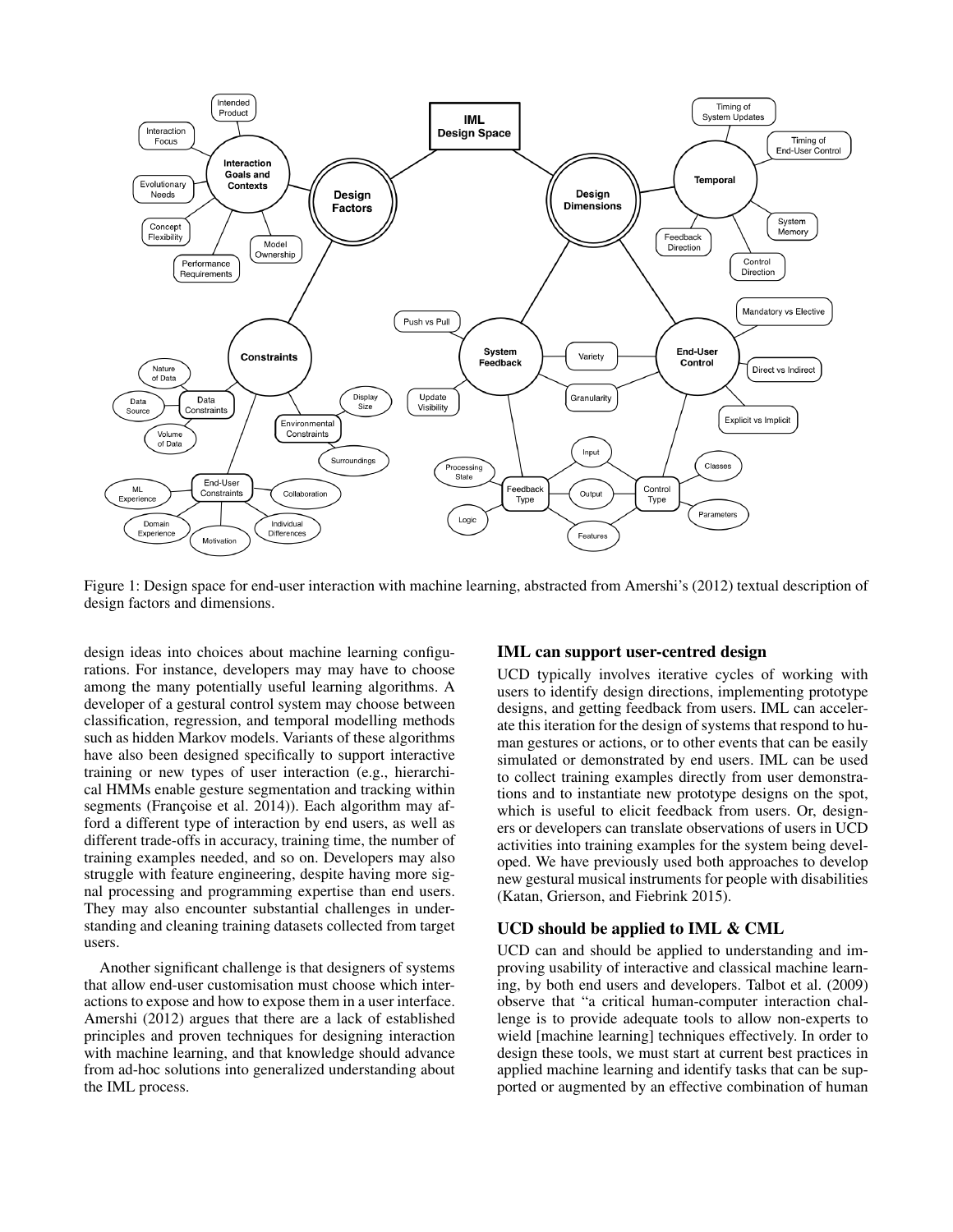

Figure 1: Design space for end-user interaction with machine learning, abstracted from Amershi's (2012) textual description of design factors and dimensions.

design ideas into choices about machine learning configurations. For instance, developers may may have to choose among the many potentially useful learning algorithms. A developer of a gestural control system may choose between classification, regression, and temporal modelling methods such as hidden Markov models. Variants of these algorithms have also been designed specifically to support interactive training or new types of user interaction (e.g., hierarchical HMMs enable gesture segmentation and tracking within segments (Françoise et al. 2014)). Each algorithm may afford a different type of interaction by end users, as well as different trade-offs in accuracy, training time, the number of training examples needed, and so on. Developers may also struggle with feature engineering, despite having more signal processing and programming expertise than end users. They may also encounter substantial challenges in understanding and cleaning training datasets collected from target users.

Another significant challenge is that designers of systems that allow end-user customisation must choose which interactions to expose and how to expose them in a user interface. Amershi (2012) argues that there are a lack of established principles and proven techniques for designing interaction with machine learning, and that knowledge should advance from ad-hoc solutions into generalized understanding about the IML process.

#### IML can support user-centred design

UCD typically involves iterative cycles of working with users to identify design directions, implementing prototype designs, and getting feedback from users. IML can accelerate this iteration for the design of systems that respond to human gestures or actions, or to other events that can be easily simulated or demonstrated by end users. IML can be used to collect training examples directly from user demonstrations and to instantiate new prototype designs on the spot, which is useful to elicit feedback from users. Or, designers or developers can translate observations of users in UCD activities into training examples for the system being developed. We have previously used both approaches to develop new gestural musical instruments for people with disabilities (Katan, Grierson, and Fiebrink 2015).

#### UCD should be applied to IML & CML

UCD can and should be applied to understanding and improving usability of interactive and classical machine learning, by both end users and developers. Talbot et al. (2009) observe that "a critical human-computer interaction challenge is to provide adequate tools to allow non-experts to wield [machine learning] techniques effectively. In order to design these tools, we must start at current best practices in applied machine learning and identify tasks that can be supported or augmented by an effective combination of human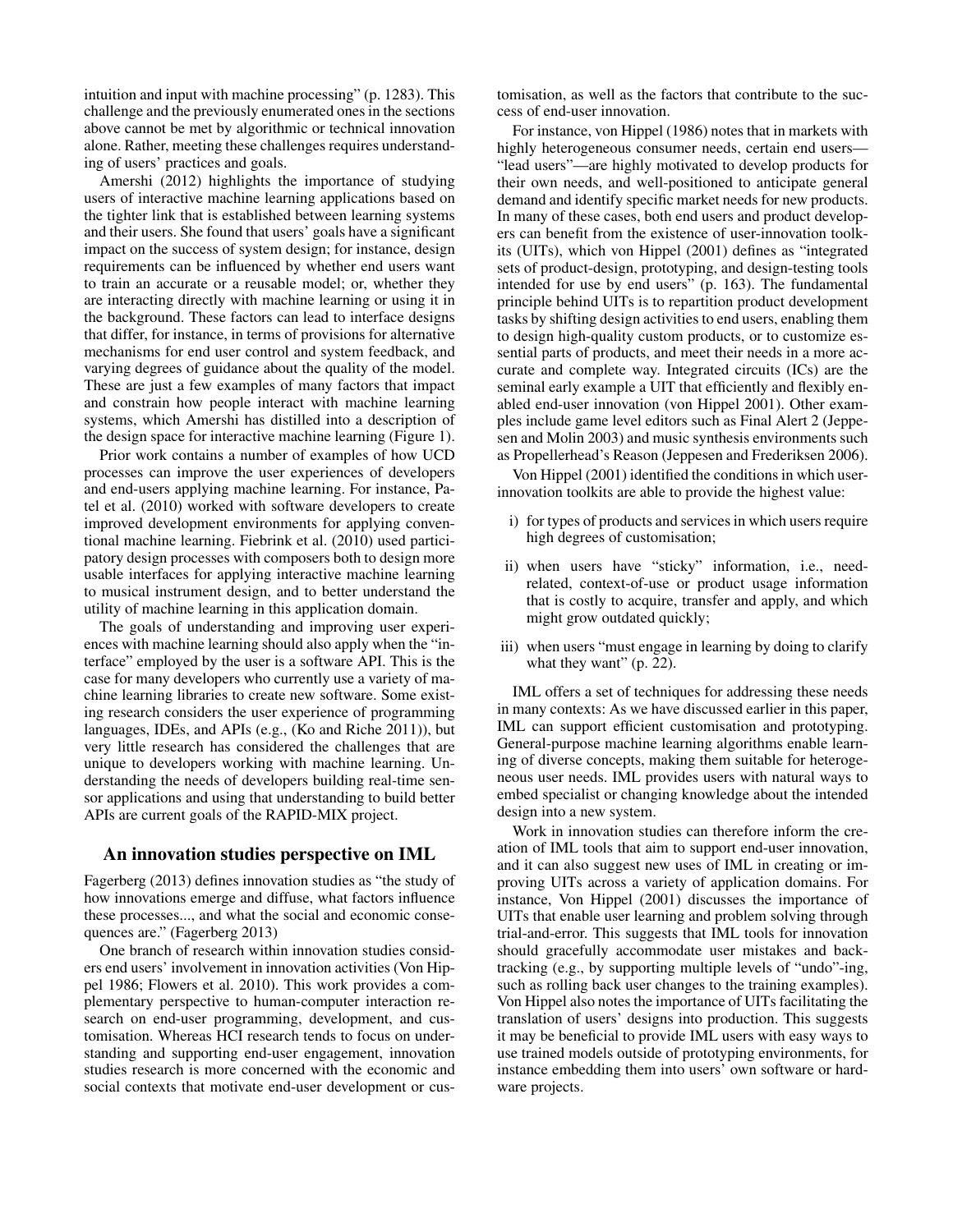intuition and input with machine processing" (p. 1283). This challenge and the previously enumerated ones in the sections above cannot be met by algorithmic or technical innovation alone. Rather, meeting these challenges requires understanding of users' practices and goals.

Amershi (2012) highlights the importance of studying users of interactive machine learning applications based on the tighter link that is established between learning systems and their users. She found that users' goals have a significant impact on the success of system design; for instance, design requirements can be influenced by whether end users want to train an accurate or a reusable model; or, whether they are interacting directly with machine learning or using it in the background. These factors can lead to interface designs that differ, for instance, in terms of provisions for alternative mechanisms for end user control and system feedback, and varying degrees of guidance about the quality of the model. These are just a few examples of many factors that impact and constrain how people interact with machine learning systems, which Amershi has distilled into a description of the design space for interactive machine learning (Figure 1).

Prior work contains a number of examples of how UCD processes can improve the user experiences of developers and end-users applying machine learning. For instance, Patel et al. (2010) worked with software developers to create improved development environments for applying conventional machine learning. Fiebrink et al. (2010) used participatory design processes with composers both to design more usable interfaces for applying interactive machine learning to musical instrument design, and to better understand the utility of machine learning in this application domain.

The goals of understanding and improving user experiences with machine learning should also apply when the "interface" employed by the user is a software API. This is the case for many developers who currently use a variety of machine learning libraries to create new software. Some existing research considers the user experience of programming languages, IDEs, and APIs (e.g., (Ko and Riche 2011)), but very little research has considered the challenges that are unique to developers working with machine learning. Understanding the needs of developers building real-time sensor applications and using that understanding to build better APIs are current goals of the RAPID-MIX project.

#### An innovation studies perspective on IML

Fagerberg (2013) defines innovation studies as "the study of how innovations emerge and diffuse, what factors influence these processes..., and what the social and economic consequences are." (Fagerberg 2013)

One branch of research within innovation studies considers end users' involvement in innovation activities (Von Hippel 1986; Flowers et al. 2010). This work provides a complementary perspective to human-computer interaction research on end-user programming, development, and customisation. Whereas HCI research tends to focus on understanding and supporting end-user engagement, innovation studies research is more concerned with the economic and social contexts that motivate end-user development or cus-

tomisation, as well as the factors that contribute to the success of end-user innovation.

For instance, von Hippel (1986) notes that in markets with highly heterogeneous consumer needs, certain end users— "lead users"—are highly motivated to develop products for their own needs, and well-positioned to anticipate general demand and identify specific market needs for new products. In many of these cases, both end users and product developers can benefit from the existence of user-innovation toolkits (UITs), which von Hippel (2001) defines as "integrated sets of product-design, prototyping, and design-testing tools intended for use by end users" (p. 163). The fundamental principle behind UITs is to repartition product development tasks by shifting design activities to end users, enabling them to design high-quality custom products, or to customize essential parts of products, and meet their needs in a more accurate and complete way. Integrated circuits (ICs) are the seminal early example a UIT that efficiently and flexibly enabled end-user innovation (von Hippel 2001). Other examples include game level editors such as Final Alert 2 (Jeppesen and Molin 2003) and music synthesis environments such as Propellerhead's Reason (Jeppesen and Frederiksen 2006).

Von Hippel (2001) identified the conditions in which userinnovation toolkits are able to provide the highest value:

- i) for types of products and services in which users require high degrees of customisation;
- ii) when users have "sticky" information, i.e., needrelated, context-of-use or product usage information that is costly to acquire, transfer and apply, and which might grow outdated quickly;
- iii) when users "must engage in learning by doing to clarify what they want" (p. 22).

IML offers a set of techniques for addressing these needs in many contexts: As we have discussed earlier in this paper, IML can support efficient customisation and prototyping. General-purpose machine learning algorithms enable learning of diverse concepts, making them suitable for heterogeneous user needs. IML provides users with natural ways to embed specialist or changing knowledge about the intended design into a new system.

Work in innovation studies can therefore inform the creation of IML tools that aim to support end-user innovation, and it can also suggest new uses of IML in creating or improving UITs across a variety of application domains. For instance, Von Hippel (2001) discusses the importance of UITs that enable user learning and problem solving through trial-and-error. This suggests that IML tools for innovation should gracefully accommodate user mistakes and backtracking (e.g., by supporting multiple levels of "undo"-ing, such as rolling back user changes to the training examples). Von Hippel also notes the importance of UITs facilitating the translation of users' designs into production. This suggests it may be beneficial to provide IML users with easy ways to use trained models outside of prototyping environments, for instance embedding them into users' own software or hardware projects.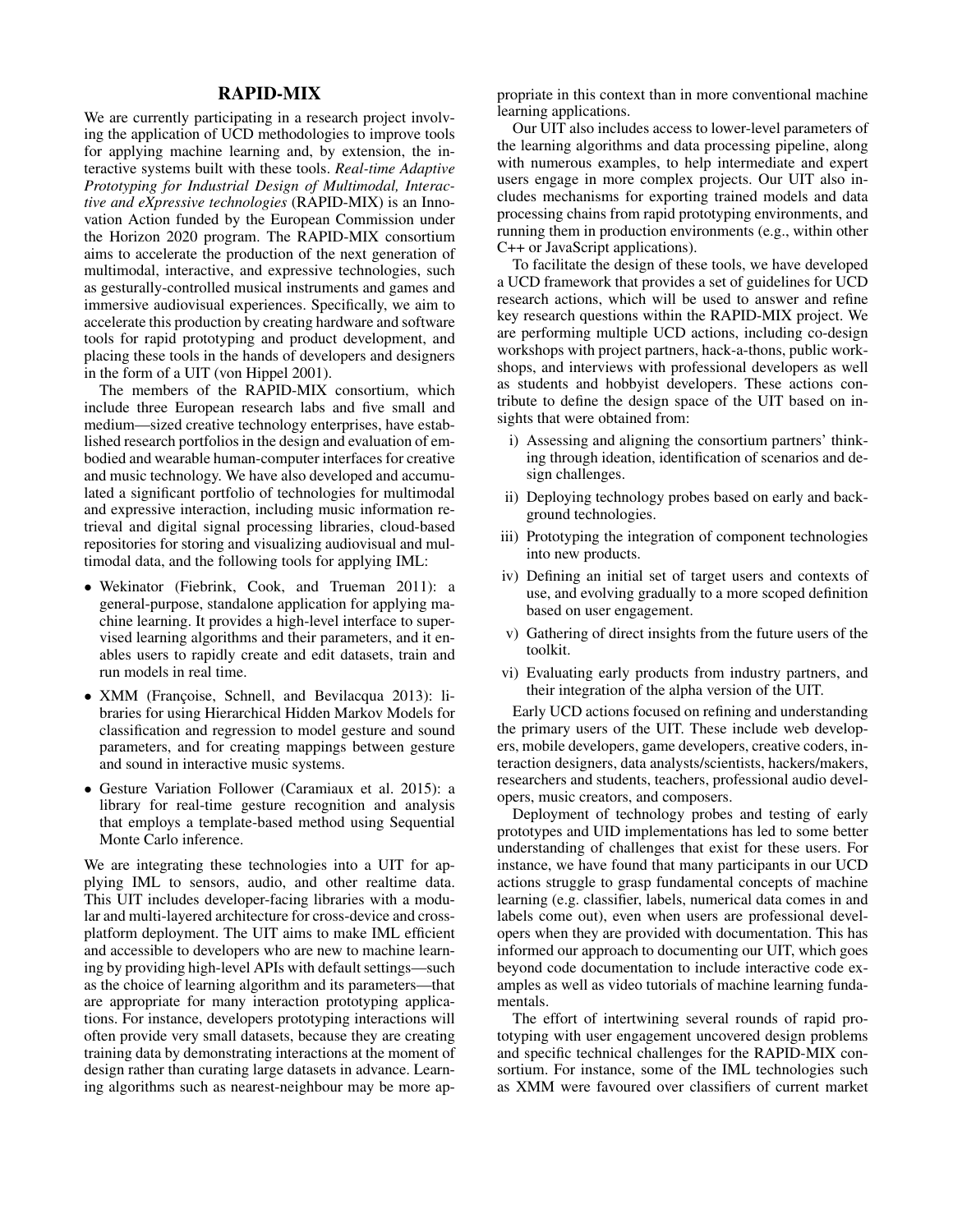# RAPID-MIX

We are currently participating in a research project involving the application of UCD methodologies to improve tools for applying machine learning and, by extension, the interactive systems built with these tools. *Real-time Adaptive Prototyping for Industrial Design of Multimodal, Interactive and eXpressive technologies* (RAPID-MIX) is an Innovation Action funded by the European Commission under the Horizon 2020 program. The RAPID-MIX consortium aims to accelerate the production of the next generation of multimodal, interactive, and expressive technologies, such as gesturally-controlled musical instruments and games and immersive audiovisual experiences. Specifically, we aim to accelerate this production by creating hardware and software tools for rapid prototyping and product development, and placing these tools in the hands of developers and designers in the form of a UIT (von Hippel 2001).

The members of the RAPID-MIX consortium, which include three European research labs and five small and medium—sized creative technology enterprises, have established research portfolios in the design and evaluation of embodied and wearable human-computer interfaces for creative and music technology. We have also developed and accumulated a significant portfolio of technologies for multimodal and expressive interaction, including music information retrieval and digital signal processing libraries, cloud-based repositories for storing and visualizing audiovisual and multimodal data, and the following tools for applying IML:

- Wekinator (Fiebrink, Cook, and Trueman 2011): a general-purpose, standalone application for applying machine learning. It provides a high-level interface to supervised learning algorithms and their parameters, and it enables users to rapidly create and edit datasets, train and run models in real time.
- XMM (Françoise, Schnell, and Bevilacqua 2013): libraries for using Hierarchical Hidden Markov Models for classification and regression to model gesture and sound parameters, and for creating mappings between gesture and sound in interactive music systems.
- Gesture Variation Follower (Caramiaux et al. 2015): a library for real-time gesture recognition and analysis that employs a template-based method using Sequential Monte Carlo inference.

We are integrating these technologies into a UIT for applying IML to sensors, audio, and other realtime data. This UIT includes developer-facing libraries with a modular and multi-layered architecture for cross-device and crossplatform deployment. The UIT aims to make IML efficient and accessible to developers who are new to machine learning by providing high-level APIs with default settings—such as the choice of learning algorithm and its parameters—that are appropriate for many interaction prototyping applications. For instance, developers prototyping interactions will often provide very small datasets, because they are creating training data by demonstrating interactions at the moment of design rather than curating large datasets in advance. Learning algorithms such as nearest-neighbour may be more appropriate in this context than in more conventional machine learning applications.

Our UIT also includes access to lower-level parameters of the learning algorithms and data processing pipeline, along with numerous examples, to help intermediate and expert users engage in more complex projects. Our UIT also includes mechanisms for exporting trained models and data processing chains from rapid prototyping environments, and running them in production environments (e.g., within other C++ or JavaScript applications).

To facilitate the design of these tools, we have developed a UCD framework that provides a set of guidelines for UCD research actions, which will be used to answer and refine key research questions within the RAPID-MIX project. We are performing multiple UCD actions, including co-design workshops with project partners, hack-a-thons, public workshops, and interviews with professional developers as well as students and hobbyist developers. These actions contribute to define the design space of the UIT based on insights that were obtained from:

- i) Assessing and aligning the consortium partners' thinking through ideation, identification of scenarios and design challenges.
- ii) Deploying technology probes based on early and background technologies.
- iii) Prototyping the integration of component technologies into new products.
- iv) Defining an initial set of target users and contexts of use, and evolving gradually to a more scoped definition based on user engagement.
- v) Gathering of direct insights from the future users of the toolkit.
- vi) Evaluating early products from industry partners, and their integration of the alpha version of the UIT.

Early UCD actions focused on refining and understanding the primary users of the UIT. These include web developers, mobile developers, game developers, creative coders, interaction designers, data analysts/scientists, hackers/makers, researchers and students, teachers, professional audio developers, music creators, and composers.

Deployment of technology probes and testing of early prototypes and UID implementations has led to some better understanding of challenges that exist for these users. For instance, we have found that many participants in our UCD actions struggle to grasp fundamental concepts of machine learning (e.g. classifier, labels, numerical data comes in and labels come out), even when users are professional developers when they are provided with documentation. This has informed our approach to documenting our UIT, which goes beyond code documentation to include interactive code examples as well as video tutorials of machine learning fundamentals.

The effort of intertwining several rounds of rapid prototyping with user engagement uncovered design problems and specific technical challenges for the RAPID-MIX consortium. For instance, some of the IML technologies such as XMM were favoured over classifiers of current market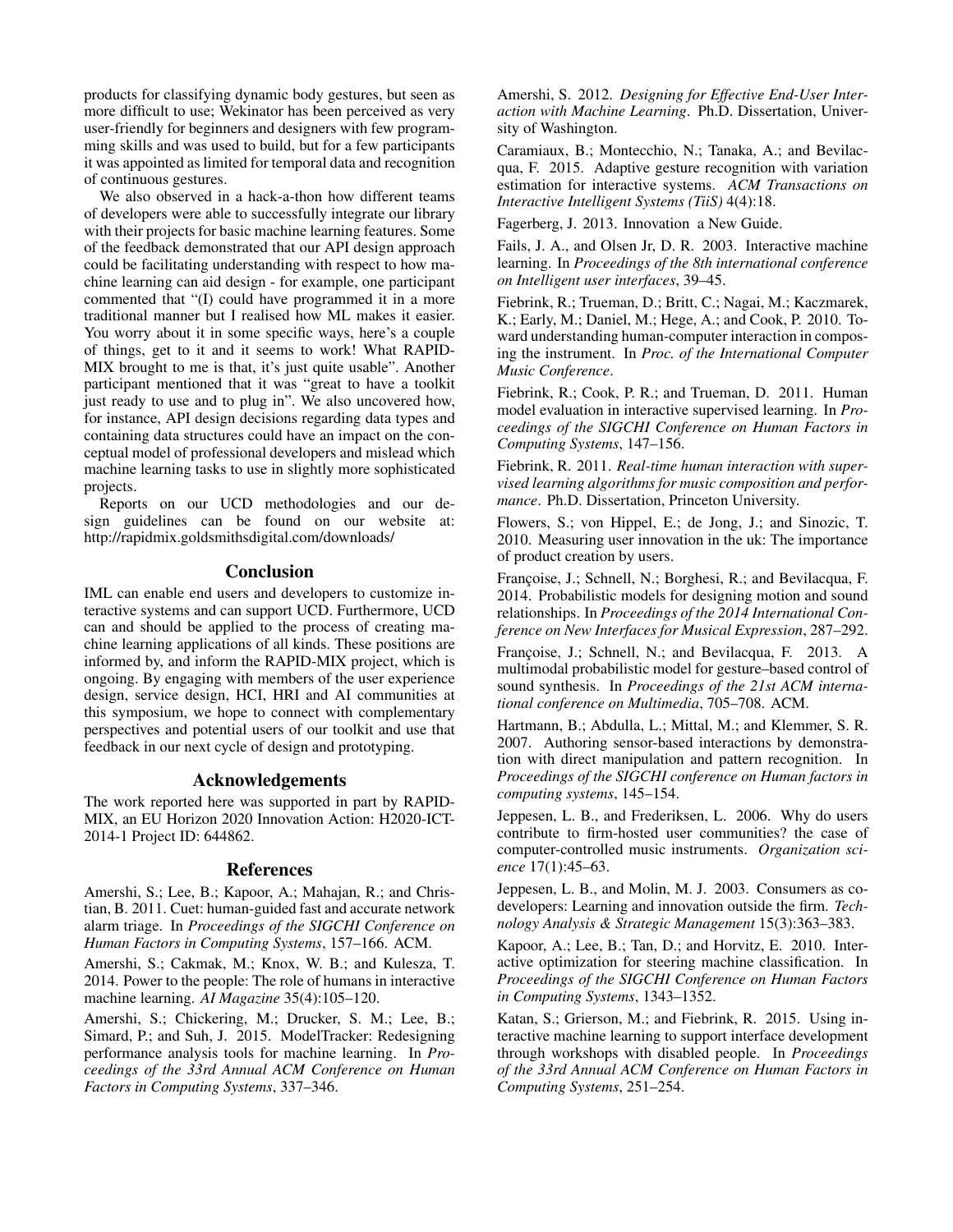products for classifying dynamic body gestures, but seen as more difficult to use; Wekinator has been perceived as very user-friendly for beginners and designers with few programming skills and was used to build, but for a few participants it was appointed as limited for temporal data and recognition of continuous gestures.

We also observed in a hack-a-thon how different teams of developers were able to successfully integrate our library with their projects for basic machine learning features. Some of the feedback demonstrated that our API design approach could be facilitating understanding with respect to how machine learning can aid design - for example, one participant commented that "(I) could have programmed it in a more traditional manner but I realised how ML makes it easier. You worry about it in some specific ways, here's a couple of things, get to it and it seems to work! What RAPID-MIX brought to me is that, it's just quite usable". Another participant mentioned that it was "great to have a toolkit just ready to use and to plug in". We also uncovered how, for instance, API design decisions regarding data types and containing data structures could have an impact on the conceptual model of professional developers and mislead which machine learning tasks to use in slightly more sophisticated projects.

Reports on our UCD methodologies and our design guidelines can be found on our website at: http://rapidmix.goldsmithsdigital.com/downloads/

### **Conclusion**

IML can enable end users and developers to customize interactive systems and can support UCD. Furthermore, UCD can and should be applied to the process of creating machine learning applications of all kinds. These positions are informed by, and inform the RAPID-MIX project, which is ongoing. By engaging with members of the user experience design, service design, HCI, HRI and AI communities at this symposium, we hope to connect with complementary perspectives and potential users of our toolkit and use that feedback in our next cycle of design and prototyping.

### Acknowledgements

The work reported here was supported in part by RAPID-MIX, an EU Horizon 2020 Innovation Action: H2020-ICT-2014-1 Project ID: 644862.

### References

Amershi, S.; Lee, B.; Kapoor, A.; Mahajan, R.; and Christian, B. 2011. Cuet: human-guided fast and accurate network alarm triage. In *Proceedings of the SIGCHI Conference on Human Factors in Computing Systems*, 157–166. ACM.

Amershi, S.; Cakmak, M.; Knox, W. B.; and Kulesza, T. 2014. Power to the people: The role of humans in interactive machine learning. *AI Magazine* 35(4):105–120.

Amershi, S.; Chickering, M.; Drucker, S. M.; Lee, B.; Simard, P.; and Suh, J. 2015. ModelTracker: Redesigning performance analysis tools for machine learning. In *Proceedings of the 33rd Annual ACM Conference on Human Factors in Computing Systems*, 337–346.

Amershi, S. 2012. *Designing for Effective End-User Interaction with Machine Learning*. Ph.D. Dissertation, University of Washington.

Caramiaux, B.; Montecchio, N.; Tanaka, A.; and Bevilacqua, F. 2015. Adaptive gesture recognition with variation estimation for interactive systems. *ACM Transactions on Interactive Intelligent Systems (TiiS)* 4(4):18.

Fagerberg, J. 2013. Innovation a New Guide.

Fails, J. A., and Olsen Jr, D. R. 2003. Interactive machine learning. In *Proceedings of the 8th international conference on Intelligent user interfaces*, 39–45.

Fiebrink, R.; Trueman, D.; Britt, C.; Nagai, M.; Kaczmarek, K.; Early, M.; Daniel, M.; Hege, A.; and Cook, P. 2010. Toward understanding human-computer interaction in composing the instrument. In *Proc. of the International Computer Music Conference*.

Fiebrink, R.; Cook, P. R.; and Trueman, D. 2011. Human model evaluation in interactive supervised learning. In *Proceedings of the SIGCHI Conference on Human Factors in Computing Systems*, 147–156.

Fiebrink, R. 2011. *Real-time human interaction with supervised learning algorithms for music composition and performance*. Ph.D. Dissertation, Princeton University.

Flowers, S.; von Hippel, E.; de Jong, J.; and Sinozic, T. 2010. Measuring user innovation in the uk: The importance of product creation by users.

Françoise, J.; Schnell, N.; Borghesi, R.; and Bevilacqua, F. 2014. Probabilistic models for designing motion and sound relationships. In *Proceedings of the 2014 International Conference on New Interfaces for Musical Expression*, 287–292.

Francoise, J.; Schnell, N.; and Bevilacqua, F. 2013. A multimodal probabilistic model for gesture–based control of sound synthesis. In *Proceedings of the 21st ACM international conference on Multimedia*, 705–708. ACM.

Hartmann, B.; Abdulla, L.; Mittal, M.; and Klemmer, S. R. 2007. Authoring sensor-based interactions by demonstration with direct manipulation and pattern recognition. In *Proceedings of the SIGCHI conference on Human factors in computing systems*, 145–154.

Jeppesen, L. B., and Frederiksen, L. 2006. Why do users contribute to firm-hosted user communities? the case of computer-controlled music instruments. *Organization science* 17(1):45–63.

Jeppesen, L. B., and Molin, M. J. 2003. Consumers as codevelopers: Learning and innovation outside the firm. *Technology Analysis & Strategic Management* 15(3):363–383.

Kapoor, A.; Lee, B.; Tan, D.; and Horvitz, E. 2010. Interactive optimization for steering machine classification. In *Proceedings of the SIGCHI Conference on Human Factors in Computing Systems*, 1343–1352.

Katan, S.; Grierson, M.; and Fiebrink, R. 2015. Using interactive machine learning to support interface development through workshops with disabled people. In *Proceedings of the 33rd Annual ACM Conference on Human Factors in Computing Systems*, 251–254.